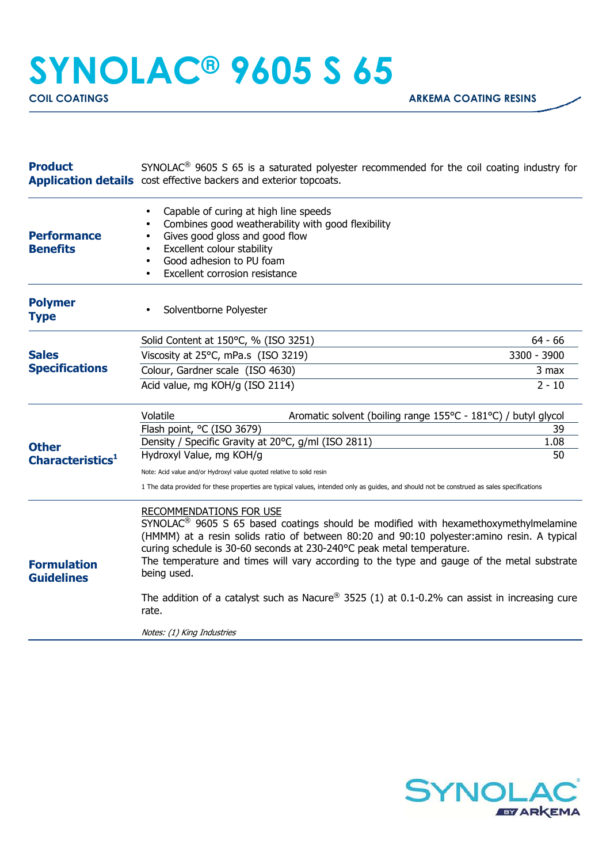## **SYNOLAC® 9605 S 65**

| <b>Product</b>                               | $SYNOLAC®$ 9605 S 65 is a saturated polyester recommended for the coil coating industry for<br><b>Application details</b> cost effective backers and exterior topcoats.                                                                                                                                                                                                                                                                                                                                          |                  |
|----------------------------------------------|------------------------------------------------------------------------------------------------------------------------------------------------------------------------------------------------------------------------------------------------------------------------------------------------------------------------------------------------------------------------------------------------------------------------------------------------------------------------------------------------------------------|------------------|
| <b>Performance</b><br><b>Benefits</b>        | Capable of curing at high line speeds<br>$\bullet$<br>Combines good weatherability with good flexibility<br>Gives good gloss and good flow<br>$\bullet$<br>Excellent colour stability<br>$\bullet$<br>Good adhesion to PU foam<br>Excellent corrosion resistance                                                                                                                                                                                                                                                 |                  |
| <b>Polymer</b><br><b>Type</b>                | Solventborne Polyester                                                                                                                                                                                                                                                                                                                                                                                                                                                                                           |                  |
| <b>Sales</b><br><b>Specifications</b>        | Solid Content at 150°C, % (ISO 3251)                                                                                                                                                                                                                                                                                                                                                                                                                                                                             | $64 - 66$        |
|                                              | Viscosity at 25°C, mPa.s (ISO 3219)                                                                                                                                                                                                                                                                                                                                                                                                                                                                              | 3300 - 3900      |
|                                              | Colour, Gardner scale (ISO 4630)                                                                                                                                                                                                                                                                                                                                                                                                                                                                                 | 3 max            |
|                                              | Acid value, mg KOH/g (ISO 2114)                                                                                                                                                                                                                                                                                                                                                                                                                                                                                  | $2 - 10$         |
| <b>Other</b><br>Characteristics <sup>1</sup> | Volatile<br>Aromatic solvent (boiling range 155°C - 181°C) / butyl glycol<br>Flash point, °C (ISO 3679)<br>Density / Specific Gravity at 20°C, g/ml (ISO 2811)<br>Hydroxyl Value, mg KOH/g<br>Note: Acid value and/or Hydroxyl value quoted relative to solid resin<br>1 The data provided for these properties are typical values, intended only as guides, and should not be construed as sales specifications                                                                                                 | 39<br>1.08<br>50 |
| <b>Formulation</b><br><b>Guidelines</b>      | RECOMMENDATIONS FOR USE<br>SYNOLAC <sup>®</sup> 9605 S 65 based coatings should be modified with hexamethoxymethylmelamine<br>(HMMM) at a resin solids ratio of between 80:20 and 90:10 polyester: amino resin. A typical<br>curing schedule is 30-60 seconds at 230-240°C peak metal temperature.<br>The temperature and times will vary according to the type and gauge of the metal substrate<br>being used.<br>The addition of a catalyst such as Nacure® 3525 (1) at 0.1-0.2% can assist in increasing cure |                  |
|                                              | rate.<br>Notes: (1) King Industries                                                                                                                                                                                                                                                                                                                                                                                                                                                                              |                  |